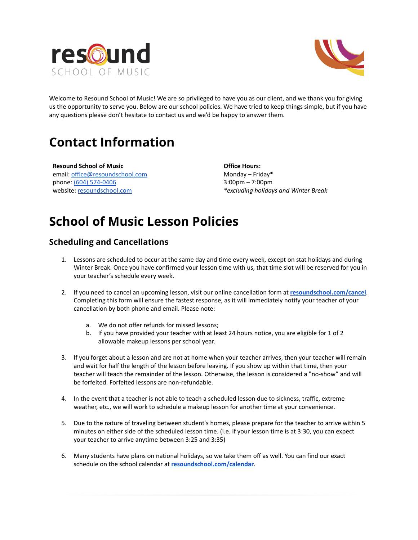



Welcome to Resound School of Music! We are so privileged to have you as our client, and we thank you for giving us the opportunity to serve you. Below are our school policies. We have tried to keep things simple, but if you have any questions please don't hesitate to contact us and we'd be happy to answer them.

## **Contact Information**

**Resound School of Music** email: [office@resoundschool.com](mailto:office@resoundschool.com) phone: (604) [574-0406](https://www.whitepages.com/phone/1-604-574-0406) website: [resoundschool.com](http://www.resoundschool.com/)

**Office Hours:** Monday – Friday\* 3:00pm – 7:00pm *\*excluding holidays and Winter Break*

# **School of Music Lesson Policies**

### **Scheduling and Cancellations**

- 1. Lessons are scheduled to occur at the same day and time every week, except on stat holidays and during Winter Break. Once you have confirmed your lesson time with us, that time slot will be reserved for you in your teacher's schedule every week.
- 2. If you need to cancel an upcoming lesson, visit our online cancellation form at **[resoundschool.com/cancel](https://resoundschool.com/cancel-a-lesson/)**. Completing this form will ensure the fastest response, as it will immediately notify your teacher of your cancellation by both phone and email. Please note:
	- a. We do not offer refunds for missed lessons;
	- b. If you have provided your teacher with at least 24 hours notice, you are eligible for 1 of 2 allowable makeup lessons per school year.
- 3. If you forget about a lesson and are not at home when your teacher arrives, then your teacher will remain and wait for half the length of the lesson before leaving. If you show up within that time, then your teacher will teach the remainder of the lesson. Otherwise, the lesson is considered a "no-show" and will be forfeited. Forfeited lessons are non-refundable.
- 4. In the event that a teacher is not able to teach a scheduled lesson due to sickness, traffic, extreme weather, etc., we will work to schedule a makeup lesson for another time at your convenience.
- 5. Due to the nature of traveling between student's homes, please prepare for the teacher to arrive within 5 minutes on either side of the scheduled lesson time. (i.e. if your lesson time is at 3:30, you can expect your teacher to arrive anytime between 3:25 and 3:35)
- 6. Many students have plans on national holidays, so we take them off as well. You can find our exact schedule on the school calendar at **[resoundschool.com/calendar](https://resoundschool.com/calendar/)**.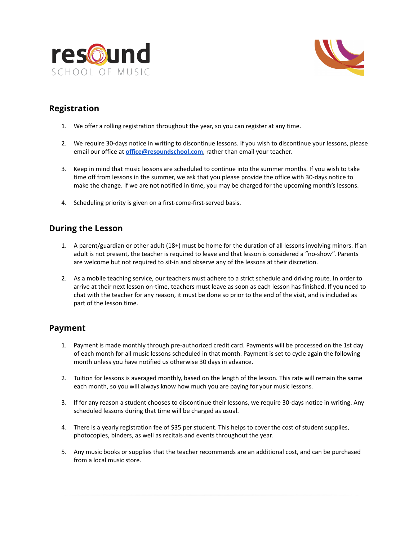



## **Registration**

- 1. We offer a rolling registration throughout the year, so you can register at any time.
- 2. We require 30-days notice in writing to discontinue lessons. If you wish to discontinue your lessons, please email our office at **[office@resoundschool.com](mailto:office@resoundschool.com)**, rather than email your teacher.
- 3. Keep in mind that music lessons are scheduled to continue into the summer months. If you wish to take time off from lessons in the summer, we ask that you please provide the office with 30-days notice to make the change. If we are not notified in time, you may be charged for the upcoming month's lessons.
- 4. Scheduling priority is given on a first-come-first-served basis.

### **During the Lesson**

- 1. A parent/guardian or other adult (18+) must be home for the duration of all lessons involving minors. If an adult is not present, the teacher is required to leave and that lesson is considered a "no-show". Parents are welcome but not required to sit-in and observe any of the lessons at their discretion.
- 2. As a mobile teaching service, our teachers must adhere to a strict schedule and driving route. In order to arrive at their next lesson on-time, teachers must leave as soon as each lesson has finished. If you need to chat with the teacher for any reason, it must be done so prior to the end of the visit, and is included as part of the lesson time.

### **Payment**

- 1. Payment is made monthly through pre-authorized credit card. Payments will be processed on the 1st day of each month for all music lessons scheduled in that month. Payment is set to cycle again the following month unless you have notified us otherwise 30 days in advance.
- 2. Tuition for lessons is averaged monthly, based on the length of the lesson. This rate will remain the same each month, so you will always know how much you are paying for your music lessons.
- 3. If for any reason a student chooses to discontinue their lessons, we require 30-days notice in writing. Any scheduled lessons during that time will be charged as usual.
- 4. There is a yearly registration fee of \$35 per student. This helps to cover the cost of student supplies, photocopies, binders, as well as recitals and events throughout the year.
- 5. Any music books or supplies that the teacher recommends are an additional cost, and can be purchased from a local music store.